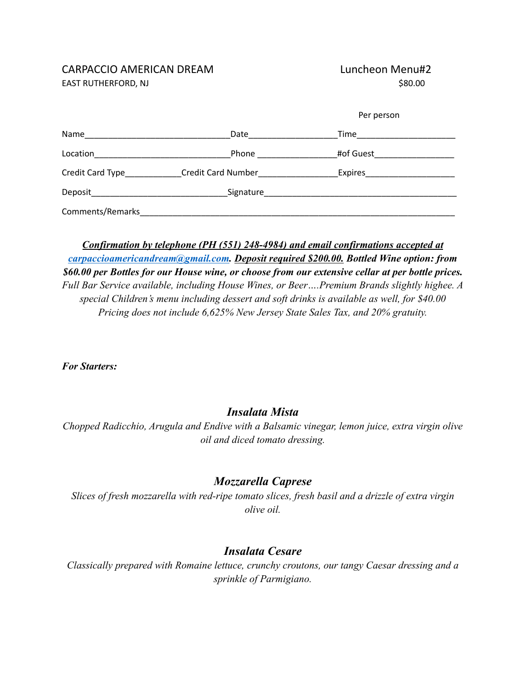#### CARPACCIO AMERICAN DREAM Luncheon Menu#2 EAST RUTHERFORD, NJ \$80.00

|                                                                                                                                  |                           | Per person                                                                                                                                                                                                                     |  |
|----------------------------------------------------------------------------------------------------------------------------------|---------------------------|--------------------------------------------------------------------------------------------------------------------------------------------------------------------------------------------------------------------------------|--|
| Name                                                                                                                             | Date                      | Time the contract of the contract of the contract of the contract of the contract of the contract of the contract of the contract of the contract of the contract of the contract of the contract of the contract of the contr |  |
| Location                                                                                                                         | Phone $\_\_$              | #of Guest                                                                                                                                                                                                                      |  |
| Credit Card Type                                                                                                                 | <b>Credit Card Number</b> | Expires                                                                                                                                                                                                                        |  |
| Deposit_<br><u> 1980 - Jan Barbara Barbara, manazarta da kasas da kasas da kasas da kasas da kasas da kasas da kasas da kasa</u> |                           |                                                                                                                                                                                                                                |  |
| Comments/Remarks                                                                                                                 |                           |                                                                                                                                                                                                                                |  |

*Confirmation by telephone (PH (551) 248-4984) and email confirmations accepted at [carpaccioamericandream@gmail.com](mailto:carpaccioamericandream@gmail.com). Deposit required \$200.00. Bottled Wine option: from \$60.00 per Bottles for our House wine, or choose from our extensive cellar at per bottle prices. Full Bar Service available, including House Wines, or Beer….Premium Brands slightly highee. A special Children's menu including dessert and soft drinks is available as well, for \$40.00 Pricing does not include 6,625% New Jersey State Sales Tax, and 20% gratuity.*

*For Starters:*

### *Insalata Mista*

*Chopped Radicchio, Arugula and Endive with a Balsamic vinegar, lemon juice, extra virgin olive oil and diced tomato dressing.*

### *Mozzarella Caprese*

*Slices of fresh mozzarella with red-ripe tomato slices, fresh basil and a drizzle of extra virgin olive oil.*

# *Insalata Cesare*

*Classically prepared with Romaine lettuce, crunchy croutons, our tangy Caesar dressing and a sprinkle of Parmigiano.*